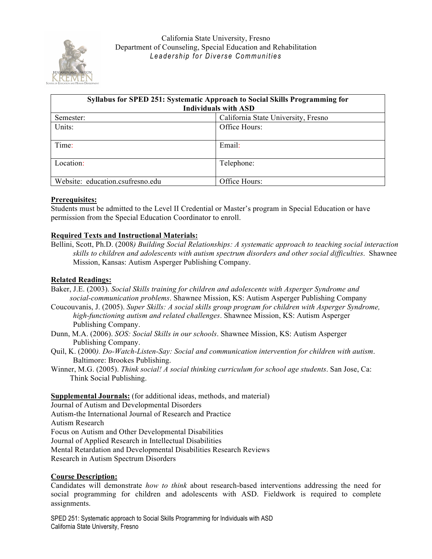

| Syllabus for SPED 251: Systematic Approach to Social Skills Programming for |                                     |  |  |  |
|-----------------------------------------------------------------------------|-------------------------------------|--|--|--|
| <b>Individuals with ASD</b>                                                 |                                     |  |  |  |
| Semester:                                                                   | California State University, Fresno |  |  |  |
| Units:                                                                      | Office Hours:                       |  |  |  |
| Time:                                                                       | Email:                              |  |  |  |
| Location:                                                                   | Telephone:                          |  |  |  |
| Website: education.csufresno.edu                                            | Office Hours:                       |  |  |  |

### **Prerequisites:**

Students must be admitted to the Level II Credential or Master's program in Special Education or have permission from the Special Education Coordinator to enroll.

### **Required Texts and Instructional Materials:**

Bellini, Scott, Ph.D. (2008*) Building Social Relationships: A systematic approach to teaching social interaction skills to children and adolescents with autism spectrum disorders and other social difficulties*. Shawnee Mission, Kansas: Autism Asperger Publishing Company.

#### **Related Readings:**

- Baker, J.E. (2003). *Social Skills training for children and adolescents with Asperger Syndrome and social-communication problems*. Shawnee Mission, KS: Autism Asperger Publishing Company
- Coucouvanis, J. (2005). *Super Skills: A social skills group program for children with Asperger Syndrome, high-functioning autism and related challenges*. Shawnee Mission, KS: Autism Asperger Publishing Company.
- Dunn, M.A. (2006). *SOS: Social Skills in our schools*. Shawnee Mission, KS: Autism Asperger Publishing Company.
- Quil, K. (2000*). Do-Watch-Listen-Say: Social and communication intervention for children with autism*. Baltimore: Brookes Publishing.
- Winner, M.G. (2005). *Think social! A social thinking curriculum for school age students*. San Jose, Ca: Think Social Publishing.

**Supplemental Journals:** (for additional ideas, methods, and material)

Journal of Autism and Developmental Disorders

Autism-the International Journal of Research and Practice

Autism Research

Focus on Autism and Other Developmental Disabilities

Journal of Applied Research in Intellectual Disabilities

Mental Retardation and Developmental Disabilities Research Reviews

Research in Autism Spectrum Disorders

#### **Course Description:**

Candidates will demonstrate *how to think* about research-based interventions addressing the need for social programming for children and adolescents with ASD. Fieldwork is required to complete assignments.

SPED 251: Systematic approach to Social Skills Programming for Individuals with ASD California State University, Fresno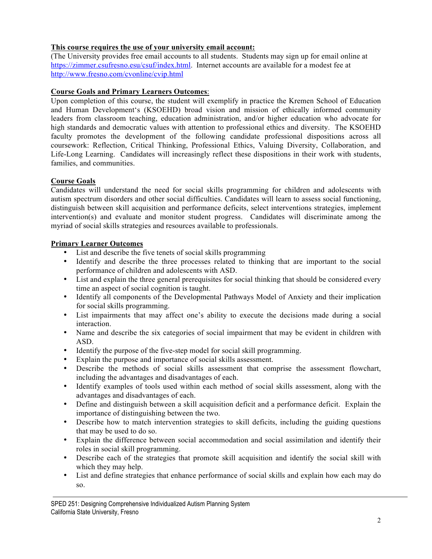# **This course requires the use of your university email account:**

(The University provides free email accounts to all students. Students may sign up for email online at https://zimmer.csufresno.esu/csuf/index.html. Internet accounts are available for a modest fee at http://www.fresno.com/cvonline/cvip.html

# **Course Goals and Primary Learners Outcomes**:

Upon completion of this course, the student will exemplify in practice the Kremen School of Education and Human Development's (KSOEHD) broad vision and mission of ethically informed community leaders from classroom teaching, education administration, and/or higher education who advocate for high standards and democratic values with attention to professional ethics and diversity. The KSOEHD faculty promotes the development of the following candidate professional dispositions across all coursework: Reflection, Critical Thinking, Professional Ethics, Valuing Diversity, Collaboration, and Life-Long Learning. Candidates will increasingly reflect these dispositions in their work with students, families, and communities.

# **Course Goals**

Candidates will understand the need for social skills programming for children and adolescents with autism spectrum disorders and other social difficulties. Candidates will learn to assess social functioning, distinguish between skill acquisition and performance deficits, select interventions strategies, implement intervention(s) and evaluate and monitor student progress. Candidates will discriminate among the myriad of social skills strategies and resources available to professionals.

# **Primary Learner Outcomes**

- List and describe the five tenets of social skills programming
- Identify and describe the three processes related to thinking that are important to the social performance of children and adolescents with ASD.
- List and explain the three general prerequisites for social thinking that should be considered every time an aspect of social cognition is taught.
- Identify all components of the Developmental Pathways Model of Anxiety and their implication for social skills programming.
- List impairments that may affect one's ability to execute the decisions made during a social interaction.
- Name and describe the six categories of social impairment that may be evident in children with ASD.
- Identify the purpose of the five-step model for social skill programming.
- Explain the purpose and importance of social skills assessment.
- Describe the methods of social skills assessment that comprise the assessment flowchart, including the advantages and disadvantages of each.
- Identify examples of tools used within each method of social skills assessment, along with the advantages and disadvantages of each.
- Define and distinguish between a skill acquisition deficit and a performance deficit. Explain the importance of distinguishing between the two.
- Describe how to match intervention strategies to skill deficits, including the guiding questions that may be used to do so.
- Explain the difference between social accommodation and social assimilation and identify their roles in social skill programming.
- Describe each of the strategies that promote skill acquisition and identify the social skill with which they may help.
- List and define strategies that enhance performance of social skills and explain how each may do so.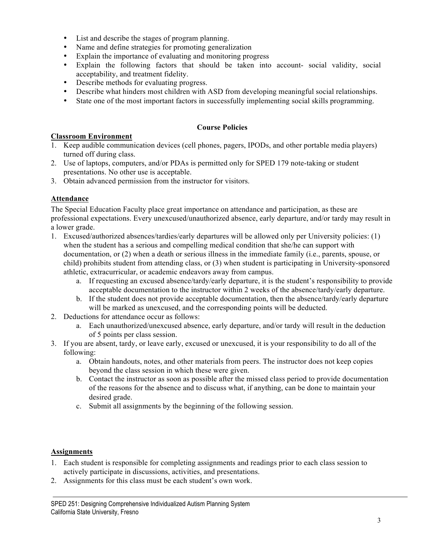- List and describe the stages of program planning.
- Name and define strategies for promoting generalization
- Explain the importance of evaluating and monitoring progress
- Explain the following factors that should be taken into account- social validity, social acceptability, and treatment fidelity.
- Describe methods for evaluating progress.
- Describe what hinders most children with ASD from developing meaningful social relationships.<br>• State one of the most important factors in successfully implementing social skills programming
- State one of the most important factors in successfully implementing social skills programming.

### **Course Policies**

# **Classroom Environment**

- 1. Keep audible communication devices (cell phones, pagers, IPODs, and other portable media players) turned off during class.
- 2. Use of laptops, computers, and/or PDAs is permitted only for SPED 179 note-taking or student presentations. No other use is acceptable.
- 3. Obtain advanced permission from the instructor for visitors.

# **Attendance**

The Special Education Faculty place great importance on attendance and participation, as these are professional expectations. Every unexcused/unauthorized absence, early departure, and/or tardy may result in a lower grade.

- 1. Excused/authorized absences/tardies/early departures will be allowed only per University policies: (1) when the student has a serious and compelling medical condition that she/he can support with documentation, or (2) when a death or serious illness in the immediate family (i.e., parents, spouse, or child) prohibits student from attending class, or (3) when student is participating in University-sponsored athletic, extracurricular, or academic endeavors away from campus.
	- a. If requesting an excused absence/tardy/early departure, it is the student's responsibility to provide acceptable documentation to the instructor within 2 weeks of the absence/tardy/early departure.
	- b. If the student does not provide acceptable documentation, then the absence/tardy/early departure will be marked as unexcused, and the corresponding points will be deducted.
- 2. Deductions for attendance occur as follows:
	- a. Each unauthorized/unexcused absence, early departure, and/or tardy will result in the deduction of 5 points per class session.
- 3. If you are absent, tardy, or leave early, excused or unexcused, it is your responsibility to do all of the following:
	- a. Obtain handouts, notes, and other materials from peers. The instructor does not keep copies beyond the class session in which these were given.
	- b. Contact the instructor as soon as possible after the missed class period to provide documentation of the reasons for the absence and to discuss what, if anything, can be done to maintain your desired grade.
	- c. Submit all assignments by the beginning of the following session.

#### **Assignments**

- 1. Each student is responsible for completing assignments and readings prior to each class session to actively participate in discussions, activities, and presentations.
- 2. Assignments for this class must be each student's own work.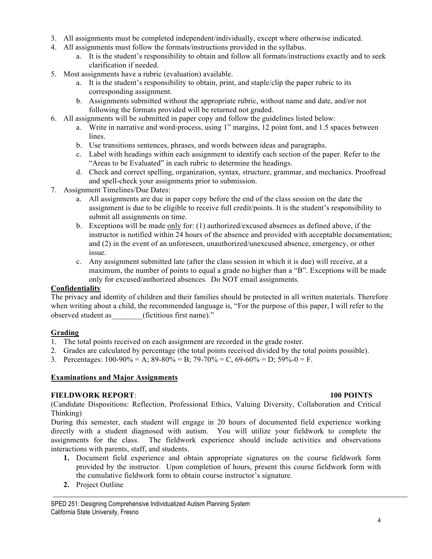- 3. All assignments must be completed independent/individually, except where otherwise indicated.
- 4. All assignments must follow the formats/instructions provided in the syllabus.
	- a. It is the student's responsibility to obtain and follow all formats/instructions exactly and to seek clarification if needed.
- 5. Most assignments have a rubric (evaluation) available.
	- a. It is the student's responsibility to obtain, print, and staple/clip the paper rubric to its corresponding assignment.
	- b. Assignments submitted without the appropriate rubric, without name and date, and/or not following the formats provided will be returned not graded.
- 6. All assignments will be submitted in paper copy and follow the guidelines listed below:
	- a. Write in narrative and word-process, using 1" margins, 12 point font, and 1.5 spaces between lines.
	- b. Use transitions sentences, phrases, and words between ideas and paragraphs.
	- c. Label with headings within each assignment to identify each section of the paper. Refer to the "Areas to be Evaluated" in each rubric to determine the headings.
	- d. Check and correct spelling, organization, syntax, structure, grammar, and mechanics. Proofread and spell-check your assignments prior to submission.
- 7. Assignment Timelines/Due Dates:
	- a. All assignments are due in paper copy before the end of the class session on the date the assignment is due to be eligible to receive full credit/points. It is the student's responsibility to submit all assignments on time.
	- b. Exceptions will be made only for: (1) authorized/excused absences as defined above, if the instructor is notified within 24 hours of the absence and provided with acceptable documentation; and (2) in the event of an unforeseen, unauthorized/unexcused absence, emergency, or other issue.
	- c. Any assignment submitted late (after the class session in which it is due) will receive, at a maximum, the number of points to equal a grade no higher than a "B". Exceptions will be made only for excused/authorized absences. Do NOT email assignments.

# **Confidentiality**

The privacy and identity of children and their families should be protected in all written materials. Therefore when writing about a child, the recommended language is, "For the purpose of this paper, I will refer to the observed student as (fictitious first name)."

# **Grading**

- 1. The total points received on each assignment are recorded in the grade roster.
- 2. Grades are calculated by percentage (the total points received divided by the total points possible).
- 3. Percentages:  $100-90\% = A$ ;  $89-80\% = B$ ;  $79-70\% = C$ ,  $69-60\% = D$ ;  $59\% = 0 = F$ .

# **Examinations and Major Assignments**

# **FIELDWORK REPORT**: **100 POINTS**

(Candidate Dispositions: Reflection, Professional Ethics, Valuing Diversity, Collaboration and Critical Thinking)

During this semester, each student will engage in 20 hours of documented field experience working directly with a student diagnosed with autism. You will utilize your fieldwork to complete the assignments for the class. The fieldwork experience should include activities and observations interactions with parents, staff, and students.

- **1.** Document field experience and obtain appropriate signatures on the course fieldwork form provided by the instructor. Upon completion of hours, present this course fieldwork form with the cumulative fieldwork form to obtain course instructor's signature.
- **2.** Project Outline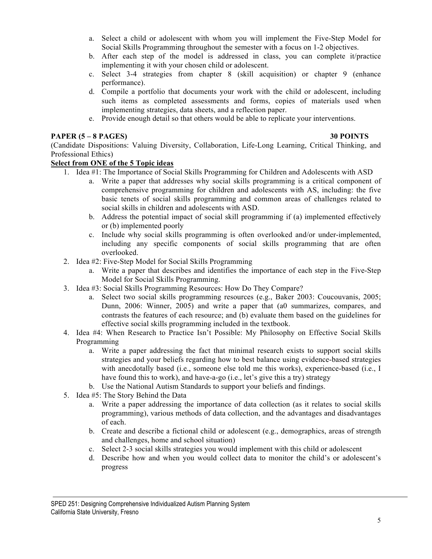- a. Select a child or adolescent with whom you will implement the Five-Step Model for Social Skills Programming throughout the semester with a focus on 1-2 objectives.
- b. After each step of the model is addressed in class, you can complete it/practice implementing it with your chosen child or adolescent.
- c. Select 3-4 strategies from chapter 8 (skill acquisition) or chapter 9 (enhance performance).
- d. Compile a portfolio that documents your work with the child or adolescent, including such items as completed assessments and forms, copies of materials used when implementing strategies, data sheets, and a reflection paper.
- e. Provide enough detail so that others would be able to replicate your interventions.

### **PAPER (5 – 8 PAGES) 30 POINTS**

(Candidate Dispositions: Valuing Diversity, Collaboration, Life-Long Learning, Critical Thinking, and Professional Ethics)

# **Select from ONE of the 5 Topic ideas**

- 1. Idea #1: The Importance of Social Skills Programming for Children and Adolescents with ASD
	- a. Write a paper that addresses why social skills programming is a critical component of comprehensive programming for children and adolescents with AS, including: the five basic tenets of social skills programming and common areas of challenges related to social skills in children and adolescents with ASD.
	- b. Address the potential impact of social skill programming if (a) implemented effectively or (b) implemented poorly
	- c. Include why social skills programming is often overlooked and/or under-implemented, including any specific components of social skills programming that are often overlooked.
- 2. Idea #2: Five-Step Model for Social Skills Programming
	- a. Write a paper that describes and identifies the importance of each step in the Five-Step Model for Social Skills Programming.
- 3. Idea #3: Social Skills Programming Resources: How Do They Compare?
	- a. Select two social skills programming resources (e.g., Baker 2003: Coucouvanis, 2005; Dunn, 2006: Winner, 2005) and write a paper that (a0 summarizes, compares, and contrasts the features of each resource; and (b) evaluate them based on the guidelines for effective social skills programming included in the textbook.
- 4. Idea #4: When Research to Practice Isn't Possible: My Philosophy on Effective Social Skills Programming
	- a. Write a paper addressing the fact that minimal research exists to support social skills strategies and your beliefs regarding how to best balance using evidence-based strategies with anecdotally based (i.e., someone else told me this works), experience-based (i.e., I have found this to work), and have-a-go (i.e., let's give this a try) strategy
	- b. Use the National Autism Standards to support your beliefs and findings.
- 5. Idea #5: The Story Behind the Data
	- a. Write a paper addressing the importance of data collection (as it relates to social skills programming), various methods of data collection, and the advantages and disadvantages of each.
	- b. Create and describe a fictional child or adolescent (e.g., demographics, areas of strength and challenges, home and school situation)
	- c. Select 2-3 social skills strategies you would implement with this child or adolescent
	- d. Describe how and when you would collect data to monitor the child's or adolescent's progress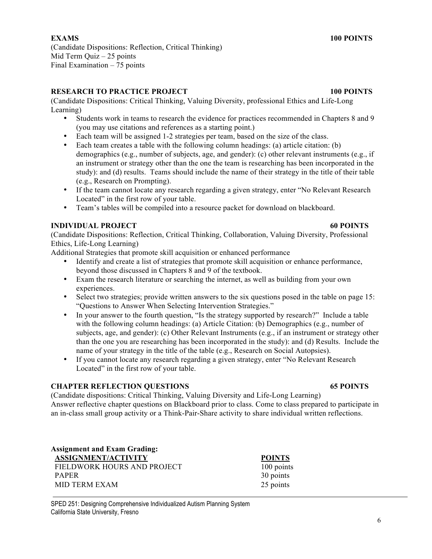# **RESEARCH TO PRACTICE PROJECT 100 POINTS**

(Candidate Dispositions: Critical Thinking, Valuing Diversity, professional Ethics and Life-Long Learning)

- Students work in teams to research the evidence for practices recommended in Chapters 8 and 9 (you may use citations and references as a starting point.)
- Each team will be assigned 1-2 strategies per team, based on the size of the class.
- Each team creates a table with the following column headings: (a) article citation: (b) demographics (e.g., number of subjects, age, and gender): (c) other relevant instruments (e.g., if an instrument or strategy other than the one the team is researching has been incorporated in the study): and (d) results. Teams should include the name of their strategy in the title of their table (e.g., Research on Prompting).
- If the team cannot locate any research regarding a given strategy, enter "No Relevant Research Located" in the first row of your table.
- Team's tables will be compiled into a resource packet for download on blackboard.

# **INDIVIDUAL PROJECT 60 POINTS**

(Candidate Dispositions: Reflection, Critical Thinking, Collaboration, Valuing Diversity, Professional Ethics, Life-Long Learning)

Additional Strategies that promote skill acquisition or enhanced performance

- Identify and create a list of strategies that promote skill acquisition or enhance performance, beyond those discussed in Chapters 8 and 9 of the textbook.
- Exam the research literature or searching the internet, as well as building from your own experiences.
- Select two strategies; provide written answers to the six questions posed in the table on page 15: "Questions to Answer When Selecting Intervention Strategies."
- In your answer to the fourth question, "Is the strategy supported by research?" Include a table with the following column headings: (a) Article Citation: (b) Demographics (e.g., number of subjects, age, and gender): (c) Other Relevant Instruments (e.g., if an instrument or strategy other than the one you are researching has been incorporated in the study): and (d) Results. Include the name of your strategy in the title of the table (e.g., Research on Social Autopsies).
- If you cannot locate any research regarding a given strategy, enter "No Relevant Research Located" in the first row of your table.

# **CHAPTER REFLECTION QUESTIONS 65 POINTS**

(Candidate dispositions: Critical Thinking, Valuing Diversity and Life-Long Learning) Answer reflective chapter questions on Blackboard prior to class. Come to class prepared to participate in an in-class small group activity or a Think-Pair-Share activity to share individual written reflections.

**Assignment and Exam Grading: ASSIGNMENT/ACTIVITY POINTS** FIELDWORK HOURS AND PROJECT 100 points PAPER 30 points MID TERM EXAM 25 points

SPED 251: Designing Comprehensive Individualized Autism Planning System California State University, Fresno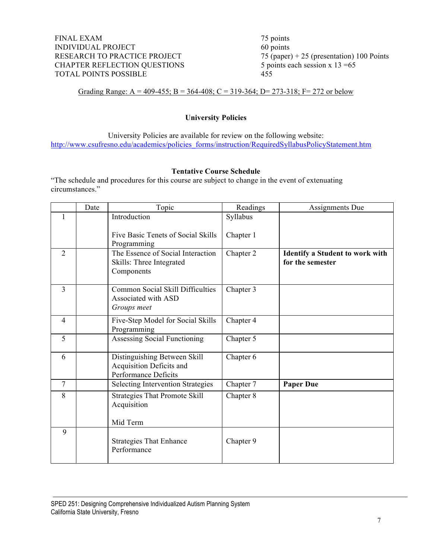FINAL EXAM 75 points INDIVIDUAL PROJECT 60 points RESEARCH TO PRACTICE PROJECT 75 (paper) + 25 (presentation) 100 Points CHAPTER REFLECTION QUESTIONS 5 points each session x 13 = 65 TOTAL POINTS POSSIBLE 455

Grading Range: A = 409-455; B = 364-408; C = 319-364; D = 273-318; F = 272 or below

### **University Policies**

University Policies are available for review on the following website: http://www.csufresno.edu/academics/policies\_forms/instruction/RequiredSyllabusPolicyStatement.htm

### **Tentative Course Schedule**

"The schedule and procedures for this course are subject to change in the event of extenuating circumstances."

|                | Date | Topic                                                                            | Readings  | Assignments Due                                            |
|----------------|------|----------------------------------------------------------------------------------|-----------|------------------------------------------------------------|
|                |      | Introduction                                                                     | Syllabus  |                                                            |
|                |      | Five Basic Tenets of Social Skills<br>Programming                                | Chapter 1 |                                                            |
| $\overline{2}$ |      | The Essence of Social Interaction<br>Skills: Three Integrated<br>Components      | Chapter 2 | <b>Identify a Student to work with</b><br>for the semester |
| $\overline{3}$ |      | Common Social Skill Difficulties<br>Associated with ASD<br>Groups meet           | Chapter 3 |                                                            |
| $\overline{4}$ |      | Five-Step Model for Social Skills<br>Programming                                 | Chapter 4 |                                                            |
| 5              |      | Assessing Social Functioning                                                     | Chapter 5 |                                                            |
| 6              |      | Distinguishing Between Skill<br>Acquisition Deficits and<br>Performance Deficits | Chapter 6 |                                                            |
| $\overline{7}$ |      | <b>Selecting Intervention Strategies</b>                                         | Chapter 7 | <b>Paper Due</b>                                           |
| 8              |      | <b>Strategies That Promote Skill</b><br>Acquisition                              | Chapter 8 |                                                            |
|                |      | Mid Term                                                                         |           |                                                            |
| 9              |      | <b>Strategies That Enhance</b><br>Performance                                    | Chapter 9 |                                                            |